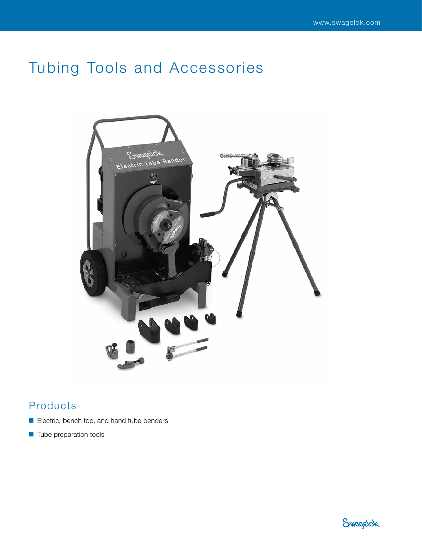# Tubing Tools and Accessories



## Products

- Electric, bench top, and hand tube benders
- Tube preparation tools

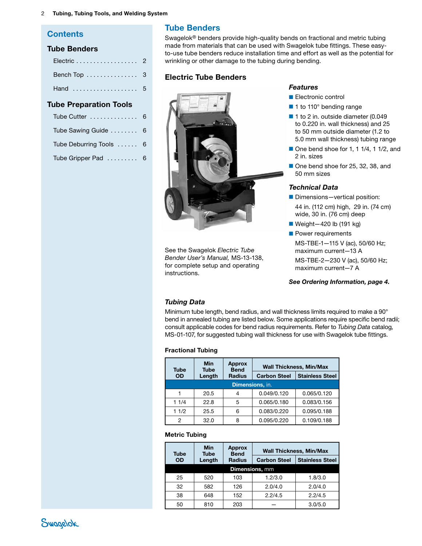#### 2 Tubing, Tubing Tools, and Welding System

### **Contents**

#### Tube Benders

| Electric 2   |  |
|--------------|--|
| Bench Top  3 |  |
| Hand  5      |  |

## Tube Preparation Tools

| Tube Cutter  6          |  |
|-------------------------|--|
| Tube Sawing Guide  6    |  |
| Tube Deburring Tools  6 |  |
| Tube Gripper Pad  6     |  |

## Tube Benders

Swagelok® benders provide high-quality bends on fractional and metric tubing made from materials that can be used with Swagelok tube fittings. These easyto-use tube benders reduce installation time and effort as well as the potential for wrinkling or other damage to the tubing during bending.

#### <span id="page-1-0"></span>Electric Tube Benders



See the Swagelok *Electric Tube Bender User's Manual,* [MS-13-138,](http://www.swagelok.com/downloads/webcatalogs/EN/MS-13-138.PDF) for complete setup and operating instructions.

#### *Features*

- Electronic control
- 1 to 110° bending range
- 1 to 2 in. outside diameter (0.049 to 0.220 in. wall thickness) and 25 to 50 mm outside diameter (1.2 to 5.0 mm wall thickness) tubing range
- One bend shoe for 1, 1 1/4, 1 1/2, and 2 in. sizes
- One bend shoe for 25, 32, 38, and 50 mm sizes

#### *Technical Data*

- Dimensions-vertical position: 44 in. (112 cm) high, 29 in. (74 cm) wide, 30 in. (76 cm) deep
- Weight-420 lb (191 kg)
- Power requirements MS-TBE-1—115 V (ac), 50/60 Hz; maximum current—13 A MS-TBE-2—230 V (ac), 50/60 Hz; maximum current—7 A

*See Ordering Information, page [4](#page-3-0).*

#### *Tubing Data*

Minimum tube length, bend radius, and wall thickness limits required to make a 90° bend in annealed tubing are listed below. Some applications require specific bend radii; consult applicable codes for bend radius requirements. Refer to *Tubing Data* catalog*,*  [MS-01-107](http://www.swagelok.com/downloads/webcatalogs/EN/MS-01-107.PDF), for suggested tubing wall thickness for use with Swagelok tube fittings.

#### Fractional Tubing

| <b>Tube</b> | Min<br><b>Tube</b> | <b>Approx</b><br><b>Bend</b> | <b>Wall Thickness, Min/Max</b> |                        |
|-------------|--------------------|------------------------------|--------------------------------|------------------------|
| <b>OD</b>   | Length             | <b>Radius</b>                | <b>Carbon Steel</b>            | <b>Stainless Steel</b> |
|             |                    | Dimensions, in.              |                                |                        |
|             | 20.5               | 4                            | 0.049/0.120                    | 0.065/0.120            |
| 11/4        | 22.8               | 5                            | 0.065/0.180                    | 0.083/0.156            |
| 11/2        | 25.5               | 6                            | 0.083/0.220                    | 0.095/0.188            |
| 2           | 32.0               | 8                            | 0.095/0.220                    | 0.109/0.188            |

#### Metric Tubing

| <b>Tube</b> | Min<br><b>Tube</b> | <b>Approx</b><br><b>Bend</b> | <b>Wall Thickness, Min/Max</b> |                        |
|-------------|--------------------|------------------------------|--------------------------------|------------------------|
| <b>OD</b>   | Length             | <b>Radius</b>                | <b>Carbon Steel</b>            | <b>Stainless Steel</b> |
|             |                    |                              | <b>Dimensions, mm</b>          |                        |
| 25          | 520                | 103                          | 1.2/3.0                        | 1.8/3.0                |
| 32          | 582                | 126                          | 2.0/4.0                        | 2.0/4.0                |
| 38          | 648                | 152                          | 2.2/4.5                        | 2.2/4.5                |
| 50          | 810                | 203                          |                                | 3.0/5.0                |

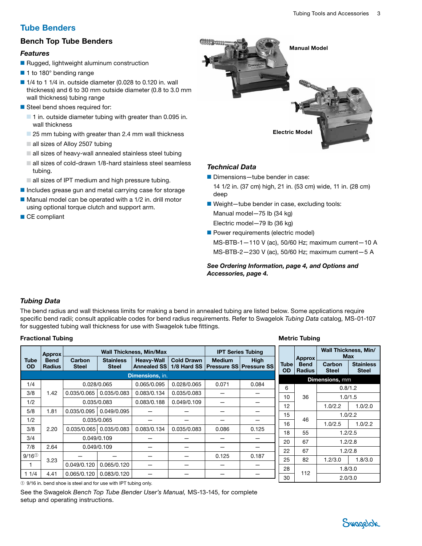## Tube Benders

## <span id="page-2-0"></span>Bench Top Tube Benders

### *Features*

- Rugged, lightweight aluminum construction
- 1 to 180° bending range
- $\blacksquare$  1/4 to 1 1/4 in. outside diameter (0.028 to 0.120 in. wall thickness) and 6 to 30 mm outside diameter (0.8 to 3.0 mm wall thickness) tubing range
- <span id="page-2-1"></span>■ Steel bend shoes required for:
	- 1 in. outside diameter tubing with greater than 0.095 in. wall thickness
	- 25 mm tubing with greater than 2.4 mm wall thickness
	- all sizes of Alloy 2507 tubing
	- all sizes of heavy-wall annealed stainless steel tubing
	- all sizes of cold-drawn 1/8-hard stainless steel seamless tubing.
	- all sizes of IPT medium and high pressure tubing.
- Includes grease gun and metal carrying case for storage ■ Manual model can be operated with a 1/2 in. drill motor
- using optional torque clutch and support arm.
- CE compliant



#### *Technical Data*

- Dimensions-tube bender in case:
- 14 1/2 in. (37 cm) high, 21 in. (53 cm) wide, 11 in. (28 cm) deep
- Weight-tube bender in case, excluding tools: Manual model—75 lb (34 kg) Electric model—79 lb (36 kg)
- Power requirements (electric model) MS-BTB-1—110 V (ac), 50/60 Hz; maximum current—10 A MS-BTB-2—230 V (ac), 50/60 Hz; maximum current—5 A

Metric Tubing

*See Ordering Information, page [4](#page-3-0), and Options and Accessories, page [4](#page-3-1).*

## *Tubing Data*

The bend radius and wall thickness limits for making a bend in annealed tubing are listed below. Some applications require specific bend radii; consult applicable codes for bend radius requirements. Refer to Swagelok *Tubing Data* catalog*,* [MS-01-107](http://www.swagelok.com/downloads/webcatalogs/EN/MS-01-107.PDF) for suggested tubing wall thickness for use with Swagelok tube fittings.

#### Fractional Tubing

|                   | <b>Approx</b>                |                        | <b>Wall Thickness, Min/Max</b>   |                                         |                                  | <b>IPT Series Tubing</b> |                                               |                   |                                               |                        | Wall Thickness, Min/<br><b>Max</b> |
|-------------------|------------------------------|------------------------|----------------------------------|-----------------------------------------|----------------------------------|--------------------------|-----------------------------------------------|-------------------|-----------------------------------------------|------------------------|------------------------------------|
| Tube<br><b>OD</b> | <b>Bend</b><br><b>Radius</b> | Carbon<br><b>Steel</b> | <b>Stainless</b><br><b>Steel</b> | <b>Heavy-Wall</b><br><b>Annealed SS</b> | <b>Cold Drawn</b><br>1/8 Hard SS | <b>Medium</b>            | <b>High</b><br><b>Pressure SS Pressure SS</b> | Tube<br><b>OD</b> | <b>Approx</b><br><b>Bend</b><br><b>Radius</b> | Carbon<br><b>Steel</b> | <b>Stainless</b><br><b>Steel</b>   |
|                   |                              |                        |                                  | <b>Dimensions, in.</b>                  |                                  |                          |                                               |                   |                                               | <b>Dimensions, mm</b>  |                                    |
| 1/4               |                              | 0.028/0.065            |                                  | 0.065/0.095                             | 0.028/0.065                      | 0.071                    | 0.084                                         | 6                 |                                               | 0.8/1.2                |                                    |
| 3/8               | 1.42                         | 0.035/0.065            | 0.035/0.083                      | 0.083/0.134                             | 0.035/0.083                      |                          |                                               | 10                | 36                                            |                        | 1.0/1.5                            |
| 1/2               |                              | 0.035/0.083            |                                  | 0.083/0.188                             | 0.049/0.109                      |                          |                                               | 12                |                                               |                        |                                    |
| 5/8               | .81                          | 0.035/0.095            | 0.049/0.095                      |                                         |                                  |                          |                                               |                   |                                               | 1.0/2.2                | 1.0/2.0                            |
| 1/2               |                              |                        | 0.035/0.065                      |                                         |                                  |                          |                                               | 15                | 46                                            |                        | 1.0/2.2                            |
| 3/8               | 2.20                         | 0.035/0.065            | 0.035/0.083                      | 0.083/0.134                             | 0.035/0.083                      | 0.086                    | 0.125                                         | 16                |                                               | 1.0/2.5                | 1.0/2.2                            |
|                   |                              |                        |                                  |                                         |                                  |                          |                                               | 18                | 55                                            |                        | 1.2/2.5                            |
| 3/4               |                              | 0.049/0.109            |                                  |                                         |                                  |                          |                                               | 20                | 67                                            |                        | 1.2/2.8                            |
| 7/8               | 2.64                         | 0.049/0.109            |                                  |                                         |                                  |                          |                                               | 22                | 67                                            |                        | 1.2/2.8                            |
| $9/16^{(1)}$      |                              |                        |                                  |                                         |                                  | 0.125                    | 0.187                                         |                   |                                               |                        |                                    |
|                   | 3.23                         | 0.049/0.120            | 0.065/0.120                      |                                         |                                  |                          |                                               | 25                | 82                                            | 1.2/3.0                | 1.8/3.0                            |
|                   |                              |                        |                                  |                                         |                                  |                          |                                               | 28                |                                               |                        | 1.8/3.0                            |
| 11/4              | 4.41                         | 0.065/0.120            | 0.083/0.120                      |                                         |                                  |                          |                                               | 30                | 112                                           | 2.0/3.0                |                                    |

➀ 9/16 in. bend shoe is steel and for use with IPT tubing only.

See the Swagelok *Bench Top Tube Bender User's Manual,* [MS-13-145](http://www.swagelok.com/downloads/webcatalogs/EN/MS-13-145.PDF), for complete setup and operating instructions.

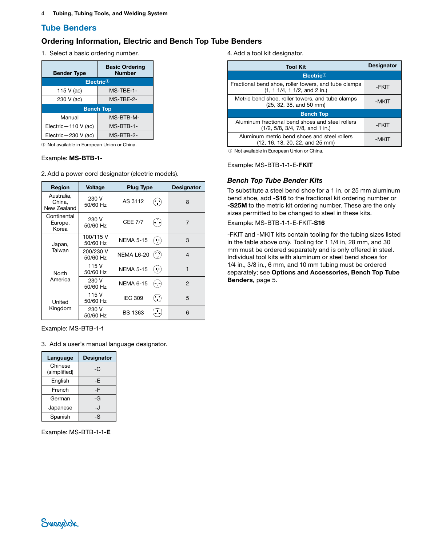## Tube Benders

### <span id="page-3-0"></span>Ordering Information, Electric and Bench Top Tube Benders

1. Select a basic ordering number.

| <b>Bender Type</b>     | <b>Basic Ordering</b><br><b>Number</b> |
|------------------------|----------------------------------------|
|                        | Electric $0$                           |
| 115 V (ac)             | MS-TBE-1-                              |
| 230 V (ac)             | MS-TBE-2-                              |
|                        | <b>Bench Top</b>                       |
| Manual                 | MS-BTB-M-                              |
| Electric $-110 V$ (ac) | MS-BTB-1-                              |
| Electric-230 V (ac)    | MS-BTB-2-                              |

➀ Not available in European Union or China.

#### Example: MS-BTB-1-

2. Add a power cord designator (electric models).

| <b>Region</b>                       | <b>Voltage</b>        | <b>Plug Type</b> |                                                   | <b>Designator</b> |
|-------------------------------------|-----------------------|------------------|---------------------------------------------------|-------------------|
| Australia.<br>China,<br>New Zealand | 230 V<br>50/60 Hz     | AS 3112          | $\ddot{\cdot}$                                    | 8                 |
| Continental<br>Europe,<br>Korea     | 230 V<br>50/60 Hz     | <b>CEE 7/7</b>   |                                                   | $\overline{7}$    |
| Japan,                              | 100/115 V<br>50/60 Hz | <b>NEMA 5-15</b> | 55                                                | 3                 |
| Taiwan                              | 200/230 V<br>50/60 Hz | NEMA L6-20       |                                                   | 4                 |
| North<br>America                    | 115 V<br>50/60 Hz     | <b>NEMA 5-15</b> | Ψ,                                                | 1                 |
|                                     | 230 V<br>50/60 Hz     | <b>NEMA 6-15</b> | $(\overline{\phantom{a}},\overline{\phantom{a}})$ | $\mathcal{P}$     |
| United<br>Kingdom                   | 115 V<br>50/60 Hz     | <b>IEC 309</b>   | $\left(\bullet\right)$                            | 5                 |
|                                     | 230 V<br>50/60 Hz     | BS 1363          |                                                   | 6                 |

Example: MS-BTB-1-1

3. Add a user's manual language designator.

| Language                | <b>Designator</b> |
|-------------------------|-------------------|
| Chinese<br>(simplified) | -C                |
| English                 | -Е                |
| French                  | -F                |
| German                  | -G                |
| Japanese                | -. I              |
| Spanish                 | -S                |

Example: MS-BTB-1-1-E

4. Add a tool kit designator.

| Tool Kit                                                                                  | <b>Designator</b> |
|-------------------------------------------------------------------------------------------|-------------------|
| Electric@                                                                                 |                   |
| Fractional bend shoe, roller towers, and tube clamps<br>$(1, 1, 1/4, 1, 1/2,$ and 2 in.)  | -FKIT             |
| Metric bend shoe, roller towers, and tube clamps<br>$(25, 32, 38, and 50$ mm)             | -MKIT             |
| <b>Bench Top</b>                                                                          |                   |
| Aluminum fractional bend shoes and steel rollers<br>$(1/2, 5/8, 3/4, 7/8,$ and 1 in.)     | -FKIT             |
| Aluminum metric bend shoes and steel rollers<br>$(12, 16, 18, 20, 22, and 25 \text{ mm})$ | -MKI1             |

➀ Not available in European Union or China.

Example: MS-BTB-1-1-E-FKIT

#### *Bench Top Tube Bender Kits*

To substitute a steel bend shoe for a 1 in. or 25 mm aluminum bend shoe, add -S16 to the fractional kit ordering number or -S25M to the metric kit ordering number. These are the only sizes permitted to be changed to steel in these kits.

Example: MS-BTB-1-1-E-FKIT-S16

<span id="page-3-1"></span>-FKIT and -MKIT kits contain tooling for the tubing sizes listed in the table above *only.* Tooling for 1 1/4 in, 28 mm, and 30 mm must be ordered separately and is only offered in steel. Individual tool kits with aluminum or steel bend shoes for 1/4 in., 3/8 in., 6 mm, and 10 mm tubing must be ordered separately; see Options and Accessories, Bench Top Tube Benders, page [5](#page-4-1).

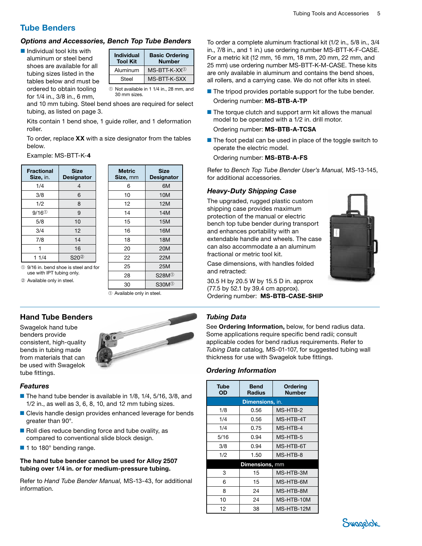## Tube Benders

## <span id="page-4-1"></span>*Options and Accessories, Bench Top Tube Benders*

■ Individual tool kits with aluminum or steel bend shoes are available for all tubing sizes listed in the tables below and must be ordered to obtain tooling for 1/4 in., 3/8 in., 6 mm,

| <b>Individual</b><br><b>Tool Kit</b> | <b>Basic Ordering</b><br><b>Number</b> |
|--------------------------------------|----------------------------------------|
| Aluminum                             | $MS-BTT-K-XX^{\circ}$                  |
| Steel                                | MS-BTT-K-SXX                           |

➀ Not available in 1 1/4 in., 28 mm, and 30 mm sizes.

and 10 mm tubing. Steel bend shoes are required for select tubing, as listed on page [3.](#page-2-1)

Kits contain 1 bend shoe, 1 guide roller, and 1 deformation roller.

To order, replace  $XX$  with a size designator from the tables below.

Example: MS-BTT-K-4

| <b>Fractional</b><br>Size, in. | <b>Size</b><br><b>Designator</b> |
|--------------------------------|----------------------------------|
| 1/4                            | 4                                |
| 3/8                            | 6                                |
| 1/2                            | 8                                |
| $9/16^{\circ}$                 | 9                                |
| 5/8                            | 10                               |
| 3/4                            | 12                               |
| 7/8                            | 14                               |
|                                | 16                               |
| 11/4                           | S20 <sup>2</sup>                 |

| <b>Metric</b><br>Size, mm | <b>Size</b><br><b>Designator</b> |
|---------------------------|----------------------------------|
| 6                         | 6M                               |
| 10                        | 10M                              |
| 12                        | 12M                              |
| 14                        | 14M                              |
| 15                        | 15M                              |
| 16                        | 16M                              |
| 18                        | 18M                              |
| 20                        | <b>20M</b>                       |
| 22                        | 22M                              |
| 25                        | 25M                              |
| 28                        | S28M <sup>①</sup>                |
| 30                        | \$30M <sup>①</sup>               |

➀ 9/16 in. bend shoe is steel and for use with IPT tubing only.

➁ Available only in steel.

➀ Available only in steel.

## <span id="page-4-0"></span>Hand Tube Benders

Swagelok hand tube benders provide consistent, high-quality bends in tubing made from materials that can be used with Swagelok tube fittings.



#### *Features*

- The hand tube bender is available in 1/8, 1/4, 5/16, 3/8, and 1/2 in., as well as 3, 6, 8, 10, and 12 mm tubing sizes.
- Clevis handle design provides enhanced leverage for bends greater than 90°.
- Roll dies reduce bending force and tube ovality, as compared to conventional slide block design.
- 1 to 180° bending range.

#### The hand tube bender cannot be used for Alloy 2507 tubing over 1/4 in. or for medium-pressure tubing.

Refer to *Hand Tube Bender Manual,* [MS-13-43](http://www.swagelok.com/downloads/webcatalogs/EN/MS-13-43.PDF), for additional information.

To order a complete aluminum fractional kit (1/2 in., 5/8 in., 3/4 in., 7/8 in., and 1 in.) use ordering number MS-BTT-K-F-CASE. For a metric kit (12 mm, 16 mm, 18 mm, 20 mm, 22 mm, and 25 mm) use ordering number MS-BTT-K-M-CASE. These kits are only available in aluminum and contains the bend shoes, all rollers, and a carrying case. We do not offer kits in steel.

- The tripod provides portable support for the tube bender.
- Ordering number: MS-BTB-A-TP
- The torque clutch and support arm kit allows the manual model to be operated with a 1/2 in. drill motor. Ordering number: MS-BTB-A-TCSA
- The foot pedal can be used in place of the toggle switch to operate the electric model.

## Ordering number: MS-BTB-A-FS

Refer to *Bench Top Tube Bender User's Manual,* [MS-13-145](http://www.swagelok.com/downloads/webcatalogs/EN/MS-13-145.PDF), for additional accessories.

## *Heavy-Duty Shipping Case*

The upgraded, rugged plastic custom shipping case provides maximum protection of the manual or electric bench top tube bender during transport and enhances portability with an extendable handle and wheels. The case can also accommodate a an aluminum fractional or metric tool kit.

Case dimensions, with handles folded and retracted:

30.5 H by 20.5 W by 15.5 D in. approx (77.5 by 52.1 by 39.4 cm approx). Ordering number: MS-BTB-CASE-SHIP

## *Tubing Data*

See **Ordering Information**, below, for bend radius data. Some applications require specific bend radii; consult applicable codes for bend radius requirements. Refer to *Tubing Data* catalog*,* [MS-01-107](http://www.swagelok.com/downloads/webcatalogs/EN/MS-01-107.PDF), for suggested tubing wall thickness for use with Swagelok tube fittings.

## *Ordering Information*

| Tube<br>OD             | <b>Bend</b><br><b>Radius</b> | Ordering<br><b>Number</b> |
|------------------------|------------------------------|---------------------------|
| <b>Dimensions, in.</b> |                              |                           |
| 1/8                    | 0.56                         | MS-HTB-2                  |
| 1/4                    | 0.56                         | MS-HTB-4T                 |
| 1/4                    | 0.75                         | MS-HTB-4                  |
| 5/16                   | 0.94                         | MS-HTB-5                  |
| 3/8                    | 0.94                         | MS-HTB-6T                 |
| 1/2                    | 1.50                         | MS-HTB-8                  |
| <b>Dimensions, mm</b>  |                              |                           |
| 3                      | 15                           | MS-HTB-3M                 |
| 6                      | 15                           | MS-HTB-6M                 |
| 8                      | 24                           | MS-HTB-8M                 |
| 10                     | 24                           | MS-HTB-10M                |
| 12                     | 38                           | MS-HTB-12M                |



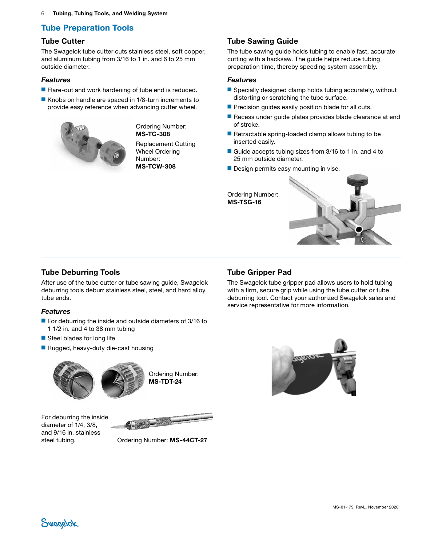6 Tubing, Tubing Tools, and Welding System

## Tube Preparation Tools

### <span id="page-5-0"></span>Tube Cutter

The Swagelok tube cutter cuts stainless steel, soft copper, and aluminum tubing from 3/16 to 1 in. and 6 to 25 mm outside diameter.

#### *Features*

- Flare-out and work hardening of tube end is reduced.
- Knobs on handle are spaced in 1/8-turn increments to provide easy reference when advancing cutter wheel.



Ordering Number: MS-TC-308

Replacement Cutting Wheel Ordering Number: MS-TCW-308

## <span id="page-5-1"></span>Tube Sawing Guide

The tube sawing guide holds tubing to enable fast, accurate cutting with a hacksaw. The guide helps reduce tubing preparation time, thereby speeding system assembly.

#### *Features*

- Specially designed clamp holds tubing accurately, without distorting or scratching the tube surface.
- Precision guides easily position blade for all cuts.
- Recess under quide plates provides blade clearance at end of stroke.
- Retractable spring-loaded clamp allows tubing to be inserted easily.
- Guide accepts tubing sizes from 3/16 to 1 in. and 4 to 25 mm outside diameter.
- Design permits easy mounting in vise.

Ordering Number: MS-TSG-16



## <span id="page-5-2"></span>Tube Deburring Tools

After use of the tube cutter or tube sawing guide, Swagelok deburring tools deburr stainless steel, steel, and hard alloy tube ends.

#### *Features*

- For deburring the inside and outside diameters of 3/16 to 1 1/2 in. and 4 to 38 mm tubing
- Steel blades for long life
- Rugged, heavy-duty die-cast housing



Ordering Number: MS-TDT-24

For deburring the inside diameter of 1/4, 3/8, and 9/16 in. stainless



steel tubing. Ordering Number: MS-44CT-27

## <span id="page-5-3"></span>Tube Gripper Pad

The Swagelok tube gripper pad allows users to hold tubing with a firm, secure grip while using the tube cutter or tube deburring tool. Contact your authorized Swagelok sales and service representative for more information.